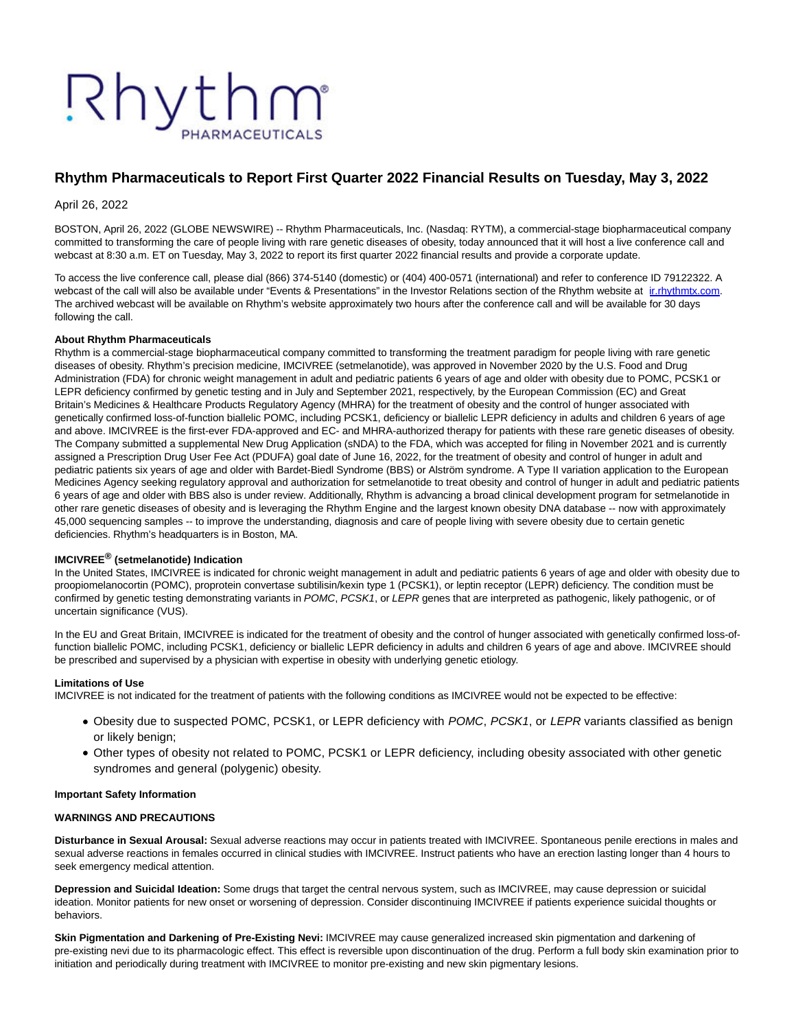# Rhythm

# **Rhythm Pharmaceuticals to Report First Quarter 2022 Financial Results on Tuesday, May 3, 2022**

April 26, 2022

BOSTON, April 26, 2022 (GLOBE NEWSWIRE) -- Rhythm Pharmaceuticals, Inc. (Nasdaq: RYTM), a commercial-stage biopharmaceutical company committed to transforming the care of people living with rare genetic diseases of obesity, today announced that it will host a live conference call and webcast at 8:30 a.m. ET on Tuesday, May 3, 2022 to report its first quarter 2022 financial results and provide a corporate update.

To access the live conference call, please dial (866) 374-5140 (domestic) or (404) 400-0571 (international) and refer to conference ID 79122322. A webcast of the call will also be available under "Events & Presentations" in the Investor Relations section of the Rhythm website at inthythmtx.com. The archived webcast will be available on Rhythm's website approximately two hours after the conference call and will be available for 30 days following the call.

#### **About Rhythm Pharmaceuticals**

Rhythm is a commercial-stage biopharmaceutical company committed to transforming the treatment paradigm for people living with rare genetic diseases of obesity. Rhythm's precision medicine, IMCIVREE (setmelanotide), was approved in November 2020 by the U.S. Food and Drug Administration (FDA) for chronic weight management in adult and pediatric patients 6 years of age and older with obesity due to POMC, PCSK1 or LEPR deficiency confirmed by genetic testing and in July and September 2021, respectively, by the European Commission (EC) and Great Britain's Medicines & Healthcare Products Regulatory Agency (MHRA) for the treatment of obesity and the control of hunger associated with genetically confirmed loss-of-function biallelic POMC, including PCSK1, deficiency or biallelic LEPR deficiency in adults and children 6 years of age and above. IMCIVREE is the first-ever FDA-approved and EC- and MHRA-authorized therapy for patients with these rare genetic diseases of obesity. The Company submitted a supplemental New Drug Application (sNDA) to the FDA, which was accepted for filing in November 2021 and is currently assigned a Prescription Drug User Fee Act (PDUFA) goal date of June 16, 2022, for the treatment of obesity and control of hunger in adult and pediatric patients six years of age and older with Bardet-Biedl Syndrome (BBS) or Alström syndrome. A Type II variation application to the European Medicines Agency seeking regulatory approval and authorization for setmelanotide to treat obesity and control of hunger in adult and pediatric patients 6 years of age and older with BBS also is under review. Additionally, Rhythm is advancing a broad clinical development program for setmelanotide in other rare genetic diseases of obesity and is leveraging the Rhythm Engine and the largest known obesity DNA database -- now with approximately 45,000 sequencing samples -- to improve the understanding, diagnosis and care of people living with severe obesity due to certain genetic deficiencies. Rhythm's headquarters is in Boston, MA.

## **IMCIVREE® (setmelanotide) Indication**

In the United States, IMCIVREE is indicated for chronic weight management in adult and pediatric patients 6 years of age and older with obesity due to proopiomelanocortin (POMC), proprotein convertase subtilisin/kexin type 1 (PCSK1), or leptin receptor (LEPR) deficiency. The condition must be confirmed by genetic testing demonstrating variants in POMC, PCSK1, or LEPR genes that are interpreted as pathogenic, likely pathogenic, or of uncertain significance (VUS).

In the EU and Great Britain, IMCIVREE is indicated for the treatment of obesity and the control of hunger associated with genetically confirmed loss-offunction biallelic POMC, including PCSK1, deficiency or biallelic LEPR deficiency in adults and children 6 years of age and above. IMCIVREE should be prescribed and supervised by a physician with expertise in obesity with underlying genetic etiology.

#### **Limitations of Use**

IMCIVREE is not indicated for the treatment of patients with the following conditions as IMCIVREE would not be expected to be effective:

- Obesity due to suspected POMC, PCSK1, or LEPR deficiency with POMC, PCSK1, or LEPR variants classified as benign or likely benign;
- Other types of obesity not related to POMC, PCSK1 or LEPR deficiency, including obesity associated with other genetic syndromes and general (polygenic) obesity.

#### **Important Safety Information**

#### **WARNINGS AND PRECAUTIONS**

**Disturbance in Sexual Arousal:** Sexual adverse reactions may occur in patients treated with IMCIVREE. Spontaneous penile erections in males and sexual adverse reactions in females occurred in clinical studies with IMCIVREE. Instruct patients who have an erection lasting longer than 4 hours to seek emergency medical attention.

**Depression and Suicidal Ideation:** Some drugs that target the central nervous system, such as IMCIVREE, may cause depression or suicidal ideation. Monitor patients for new onset or worsening of depression. Consider discontinuing IMCIVREE if patients experience suicidal thoughts or behaviors.

**Skin Pigmentation and Darkening of Pre-Existing Nevi:** IMCIVREE may cause generalized increased skin pigmentation and darkening of pre-existing nevi due to its pharmacologic effect. This effect is reversible upon discontinuation of the drug. Perform a full body skin examination prior to initiation and periodically during treatment with IMCIVREE to monitor pre-existing and new skin pigmentary lesions.